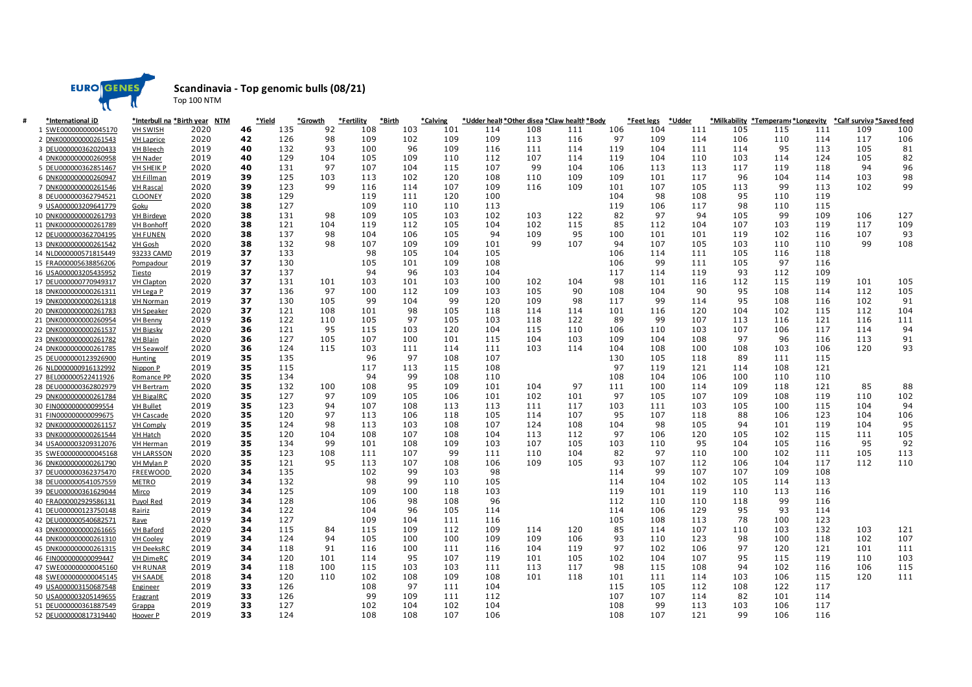

**Scandinavia - Top genomic bulls (08/21)**

Top 100 NTM

| *International iD     |                   | *Interbull na *Birth year NTM |    | *Yield | *Growth | *Fertility | *Birth | *Calving |     |     | *Udder healt *Other disea *Claw health *Body |     | *Feet legs | *Udder |     | *Milkability *Temperam(*Longevity |     | *Calf surviva *Saved feed |     |
|-----------------------|-------------------|-------------------------------|----|--------|---------|------------|--------|----------|-----|-----|----------------------------------------------|-----|------------|--------|-----|-----------------------------------|-----|---------------------------|-----|
| 1 SWE000000000045170  | <b>VH SWISH</b>   | 2020                          | 46 | 135    | 92      | 108        | 103    | 101      | 114 | 108 | 111                                          | 106 | 104        | 111    | 105 | 115                               | 111 | 109                       | 100 |
| 2 DNK000000000261543  | <b>VH Laprice</b> | 2020                          | 42 | 126    | 98      | 109        | 102    | 109      | 109 | 113 | 116                                          | 97  | 109        | 114    | 106 | 110                               | 114 | 117                       | 106 |
| 3 DEU000000362020433  | <b>VH Bleech</b>  | 2019                          | 40 | 132    | 93      | 100        | 96     | 109      | 116 | 111 | 114                                          | 119 | 104        | 111    | 114 | 95                                | 113 | 105                       | 81  |
| 4 DNK000000000260958  | VH Nader          | 2019                          | 40 | 129    | 104     | 105        | 109    | 110      | 112 | 107 | 114                                          | 119 | 104        | 110    | 103 | 114                               | 124 | 105                       | 82  |
| 5 DEU000000362851467  | <b>VH SHEIK P</b> | 2020                          | 40 | 131    | 97      | 107        | 104    | 115      | 107 | 99  | 104                                          | 106 | 113        | 113    | 117 | 119                               | 118 | 94                        | 96  |
| 6 DNK000000000260947  | <b>VH Fillman</b> | 2019                          | 39 | 125    | 103     | 113        | 102    | 120      | 108 | 110 | 109                                          | 109 | 101        | 117    | 96  | 104                               | 114 | 103                       | 98  |
| 7 DNK000000000261546  | <b>VH Rascal</b>  | 2020                          | 39 | 123    | 99      | 116        | 114    | 107      | 109 | 116 | 109                                          | 101 | 107        | 105    | 113 | 99                                | 113 | 102                       | 99  |
| 8 DEU000000362794521  | <b>CLOONEY</b>    | 2020                          | 38 | 129    |         | 119        | 111    | 120      | 100 |     |                                              | 104 | 98         | 108    | 95  | 110                               | 119 |                           |     |
| 9 USA000003209641779  | Goku              | 2020                          | 38 | 127    |         | 109        | 110    | 110      | 113 |     |                                              | 119 | 106        | 117    | 98  | 110                               | 115 |                           |     |
| 10 DNK000000000261793 | VH Birdeye        | 2020                          | 38 | 131    | 98      | 109        | 105    | 103      | 102 | 103 | 122                                          | 82  | 97         | 94     | 105 | 99                                | 109 | 106                       | 127 |
| 11 DNK000000000261789 | <b>VH Bonhoff</b> | 2020                          | 38 | 121    | 104     | 119        | 112    | 105      | 104 | 102 | 115                                          | 85  | 112        | 104    | 107 | 103                               | 119 | 117                       | 109 |
| 12 DEU000000362704195 | <b>VH FUNEN</b>   | 2020                          | 38 | 137    | 98      | 104        | 106    | 105      | 94  | 109 | 95                                           | 100 | 101        | 101    | 119 | 102                               | 116 | 107                       | 93  |
| 13 DNK000000000261542 | VH Gosh           | 2020                          | 38 | 132    | 98      | 107        | 109    | 109      | 101 | 99  | 107                                          | 94  | 107        | 105    | 103 | 110                               | 110 | 99                        | 108 |
| 14 NLD000000571815449 | 93233 CAMD        | 2019                          | 37 | 133    |         | 98         | 105    | 104      | 105 |     |                                              | 106 | 114        | 111    | 105 | 116                               | 118 |                           |     |
| 15 FRA000005638856206 | Pompadour         | 2019                          | 37 | 130    |         | 105        | 101    | 109      | 108 |     |                                              | 106 | 99         | 111    | 105 | 97                                | 116 |                           |     |
| 16 USA000003205435952 | <b>Tiesto</b>     | 2019                          | 37 | 137    |         | 94         | 96     | 103      | 104 |     |                                              | 117 | 114        | 119    | 93  | 112                               | 109 |                           |     |
| 17 DEU000000770949317 | VH Clapton        | 2020                          | 37 | 131    | 101     | 103        | 101    | 103      | 100 | 102 | 104                                          | 98  | 101        | 116    | 112 | 115                               | 119 | 101                       | 105 |
| 18 DNK000000000261311 | VH Lega P         | 2019                          | 37 | 136    | 97      | 100        | 112    | 109      | 103 | 105 | 90                                           | 108 | 104        | 90     | 95  | 108                               | 114 | 112                       | 105 |
| 19 DNK000000000261318 | <b>VH Norman</b>  | 2019                          | 37 | 130    | 105     | 99         | 104    | 99       | 120 | 109 | 98                                           | 117 | 99         | 114    | 95  | 108                               | 116 | 102                       | 91  |
| 20 DNK000000000261783 | <b>VH Speaker</b> | 2020                          | 37 | 121    | 108     | 101        | 98     | 105      | 118 | 114 | 114                                          | 101 | 116        | 120    | 104 | 102                               | 115 | 112                       | 104 |
| 21 DNK000000000260954 | <b>VH Benny</b>   | 2019                          | 36 | 122    | 110     | 105        | 97     | 105      | 103 | 118 | 122                                          | 89  | 99         | 107    | 113 | 116                               | 121 | 116                       | 111 |
| 22 DNK000000000261537 | <b>VH Bigsky</b>  | 2020                          | 36 | 121    | 95      | 115        | 103    | 120      | 104 | 115 | 110                                          | 106 | 110        | 103    | 107 | 106                               | 117 | 114                       | 94  |
| 23 DNK000000000261782 | <b>VH Blain</b>   | 2020                          | 36 | 127    | 105     | 107        | 100    | 101      | 115 | 104 | 103                                          | 109 | 104        | 108    | 97  | 96                                | 116 | 113                       | 91  |
| 24 DNK000000000261785 | <b>VH Seawolf</b> | 2020                          | 36 | 124    | 115     | 103        | 111    | 114      | 111 | 103 | 114                                          | 104 | 108        | 100    | 108 | 103                               | 106 | 120                       | 93  |
| 25 DEU000000123926900 | <b>Hunting</b>    | 2019                          | 35 | 135    |         | 96         | 97     | 108      | 107 |     |                                              | 130 | 105        | 118    | 89  | 111                               | 115 |                           |     |
| 26 NLD000000916132992 |                   | 2019                          | 35 | 115    |         | 117        | 113    | 115      | 108 |     |                                              | 97  | 119        | 121    | 114 | 108                               | 121 |                           |     |
| 27 BEL000000522411926 | Nippon P          | 2020                          | 35 | 134    |         | 94         | 99     | 108      | 110 |     |                                              | 108 | 104        | 106    | 100 | 110                               | 110 |                           |     |
|                       | Romance PP        | 2020                          | 35 | 132    | 100     | 108        | 95     | 109      | 101 | 104 | 97                                           | 111 | 100        | 114    | 109 | 118                               | 121 | 85                        | 88  |
| 28 DEU000000362802979 | <b>VH Bertram</b> | 2020                          | 35 | 127    | 97      | 109        | 105    | 106      | 101 | 102 | 101                                          | 97  | 105        | 107    | 109 | 108                               | 119 | 110                       | 102 |
| 29 DNK000000000261784 | <b>VH BigaIRC</b> |                               |    |        |         |            |        |          |     |     |                                              |     |            |        |     |                                   |     |                           |     |
| 30 FIN000000000099554 | <b>VH Bullet</b>  | 2019                          | 35 | 123    | 94      | 107        | 108    | 113      | 113 | 111 | 117                                          | 103 | 111        | 103    | 105 | 100                               | 115 | 104                       | 94  |
| 31 FIN000000000099675 | <b>VH Cascade</b> | 2020                          | 35 | 120    | 97      | 113        | 106    | 118      | 105 | 114 | 107                                          | 95  | 107        | 118    | 88  | 106                               | 123 | 104                       | 106 |
| 32 DNK000000000261157 | <b>VH Comply</b>  | 2019                          | 35 | 124    | 98      | 113        | 103    | 108      | 107 | 124 | 108                                          | 104 | 98         | 105    | 94  | 101                               | 119 | 104                       | 95  |
| 33 DNK000000000261544 | <b>VH Hatch</b>   | 2020                          | 35 | 120    | 104     | 108        | 107    | 108      | 104 | 113 | 112                                          | 97  | 106        | 120    | 105 | 102                               | 115 | 111                       | 105 |
| 34 USA000003209312076 | VH Herman         | 2019                          | 35 | 134    | 99      | 101        | 108    | 109      | 103 | 107 | 105                                          | 103 | 110        | 95     | 104 | 105                               | 116 | 95                        | 92  |
| 35 SWE000000000045168 | <b>VH LARSSON</b> | 2020                          | 35 | 123    | 108     | 111        | 107    | 99       | 111 | 110 | 104                                          | 82  | 97         | 110    | 100 | 102                               | 111 | 105                       | 113 |
| 36 DNK000000000261790 | <b>VH Mylan P</b> | 2020                          | 35 | 121    | 95      | 113        | 107    | 108      | 106 | 109 | 105                                          | 93  | 107        | 112    | 106 | 104                               | 117 | 112                       | 110 |
| 37 DEU000000362375470 | <b>FREEWOOD</b>   | 2020                          | 34 | 135    |         | 102        | 99     | 103      | 98  |     |                                              | 114 | 99         | 107    | 107 | 109                               | 108 |                           |     |
| 38 DEU000000541057559 | <b>METRO</b>      | 2019                          | 34 | 132    |         | 98         | 99     | 110      | 105 |     |                                              | 114 | 104        | 102    | 105 | 114                               | 113 |                           |     |
| 39 DEU000000361629044 | Mirco             | 2019                          | 34 | 125    |         | 109        | 100    | 118      | 103 |     |                                              | 119 | 101        | 119    | 110 | 113                               | 116 |                           |     |
| 40 FRA000002929586131 | Puyol Red         | 2019                          | 34 | 128    |         | 106        | 98     | 108      | 96  |     |                                              | 112 | 110        | 110    | 118 | 99                                | 116 |                           |     |
| 41 DEU000000123750148 | Rairiz            | 2019                          | 34 | 122    |         | 104        | 96     | 105      | 114 |     |                                              | 114 | 106        | 129    | 95  | 93                                | 114 |                           |     |
| 42 DEU000000540682571 | <u>Rave</u>       | 2019                          | 34 | 127    |         | 109        | 104    | 111      | 116 |     |                                              | 105 | 108        | 113    | 78  | 100                               | 123 |                           |     |
| 43 DNK000000000261665 | <b>VH Baford</b>  | 2020                          | 34 | 115    | 84      | 115        | 109    | 112      | 109 | 114 | 120                                          | 85  | 114        | 107    | 110 | 103                               | 132 | 103                       | 121 |
| 44 DNK000000000261310 | <b>VH Cooley</b>  | 2019                          | 34 | 124    | 94      | 105        | 100    | 100      | 109 | 109 | 106                                          | 93  | 110        | 123    | 98  | 100                               | 118 | 102                       | 107 |
| 45 DNK000000000261315 | <b>VH DeeksRC</b> | 2019                          | 34 | 118    | 91      | 116        | 100    | 111      | 116 | 104 | 119                                          | 97  | 102        | 106    | 97  | 120                               | 121 | 101                       | 111 |
| 46 FIN000000000099447 | <b>VH DimeRC</b>  | 2019                          | 34 | 120    | 101     | 114        | 95     | 107      | 119 | 101 | 105                                          | 102 | 104        | 107    | 95  | 115                               | 119 | 110                       | 103 |
| 47 SWE000000000045160 | <b>VH RUNAR</b>   | 2019                          | 34 | 118    | 100     | 115        | 103    | 103      | 111 | 113 | 117                                          | 98  | 115        | 108    | 94  | 102                               | 116 | 106                       | 115 |
| 48 SWE000000000045145 | <b>VH SAADE</b>   | 2018                          | 34 | 120    | 110     | 102        | 108    | 109      | 108 | 101 | 118                                          | 101 | 111        | 114    | 103 | 106                               | 115 | 120                       | 111 |
| 49 USA000003150687548 | Engineer          | 2019                          | 33 | 126    |         | 108        | 97     | 111      | 104 |     |                                              | 115 | 105        | 112    | 108 | 122                               | 117 |                           |     |
| 50 USA000003205149655 | <b>Fragrant</b>   | 2019                          | 33 | 126    |         | 99         | 109    | 111      | 112 |     |                                              | 107 | 107        | 114    | 82  | 101                               | 114 |                           |     |
| 51 DEU000000361887549 | Grappa            | 2019                          | 33 | 127    |         | 102        | 104    | 102      | 104 |     |                                              | 108 | 99         | 113    | 103 | 106                               | 117 |                           |     |
| 52 DEU000000817319440 | Hoover P          | 2019                          | 33 | 124    |         | 108        | 108    | 107      | 106 |     |                                              | 108 | 107        | 121    | 99  | 106                               | 116 |                           |     |
|                       |                   |                               |    |        |         |            |        |          |     |     |                                              |     |            |        |     |                                   |     |                           |     |